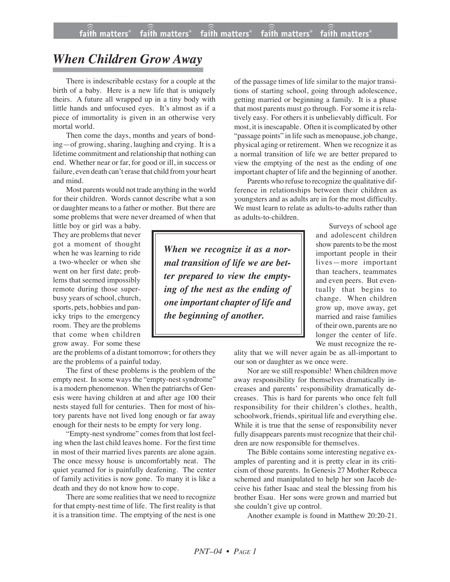## *When Children Grow Away*

There is indescribable ecstasy for a couple at the birth of a baby. Here is a new life that is uniquely theirs. A future all wrapped up in a tiny body with little hands and unfocused eyes. It's almost as if a piece of immortality is given in an otherwise very mortal world.

Then come the days, months and years of bonding—of growing, sharing, laughing and crying. It is a lifetime commitment and relationship that nothing can end. Whether near or far, for good or ill, in success or failure, even death can't erase that child from your heart and mind.

Most parents would not trade anything in the world for their children. Words cannot describe what a son or daughter means to a father or mother. But there are some problems that were never dreamed of when that

little boy or girl was a baby. They are problems that never got a moment of thought when he was learning to ride a two-wheeler or when she went on her first date; problems that seemed impossibly remote during those superbusy years of school, church, sports, pets, hobbies and panicky trips to the emergency room. They are the problems that come when children grow away. For some these

are the problems of a distant tomorrow; for others they are the problems of a painful today.

The first of these problems is the problem of the empty nest. In some ways the "empty-nest syndrome" is a modern phenomenon. When the patriarchs of Genesis were having children at and after age 100 their nests stayed full for centuries. Then for most of history parents have not lived long enough or far away enough for their nests to be empty for very long.

"Empty-nest syndrome" comes from that lost feeling when the last child leaves home. For the first time in most of their married lives parents are alone again. The once messy house is uncomfortably neat. The quiet yearned for is painfully deafening. The center of family activities is now gone. To many it is like a death and they do not know how to cope.

There are some realities that we need to recognize for that empty-nest time of life. The first reality is that it is a transition time. The emptying of the nest is one of the passage times of life similar to the major transitions of starting school, going through adolescence, getting married or beginning a family. It is a phase that most parents must go through. For some it is relatively easy. For others it is unbelievably difficult. For most, it is inescapable. Often it is complicated by other "passage points" in life such as menopause, job change, physical aging or retirement. When we recognize it as a normal transition of life we are better prepared to view the emptying of the nest as the ending of one important chapter of life and the beginning of another.

Parents who refuse to recognize the qualitative difference in relationships between their children as youngsters and as adults are in for the most difficulty. We must learn to relate as adults-to-adults rather than as adults-to-children.

*When we recognize it as a normal transition of life we are better prepared to view the emptying of the nest as the ending of one important chapter of life and the beginning of another.*

Surveys of school age and adolescent children show parents to be the most important people in their lives—more important than teachers, teammates and even peers. But eventually that begins to change. When children grow up, move away, get married and raise families of their own, parents are no longer the center of life. We must recognize the re-

ality that we will never again be as all-important to our son or daughter as we once were.

Nor are we still responsible! When children move away responsibility for themselves dramatically increases and parents' responsibility dramatically decreases. This is hard for parents who once felt full responsibility for their children's clothes, health, schoolwork, friends, spiritual life and everything else. While it is true that the sense of responsibility never fully disappears parents must recognize that their children are now responsible for themselves.

The Bible contains some interesting negative examples of parenting and it is pretty clear in its criticism of those parents. In Genesis 27 Mother Rebecca schemed and manipulated to help her son Jacob deceive his father Isaac and steal the blessing from his brother Esau. Her sons were grown and married but she couldn't give up control.

Another example is found in Matthew 20:20-21.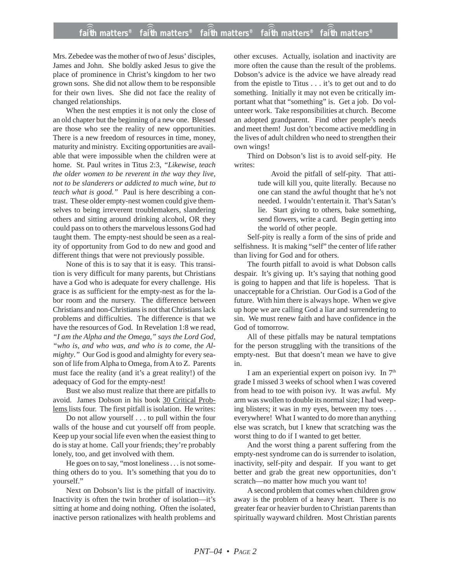## **faith matters® faith matters® faith matters® faith matters® faith matters®** ))) ))) ))) ))) )))

Mrs. Zebedee was the mother of two of Jesus' disciples, James and John. She boldly asked Jesus to give the place of prominence in Christ's kingdom to her two grown sons. She did not allow them to be responsible for their own lives. She did not face the reality of changed relationships.

When the nest empties it is not only the close of an old chapter but the beginning of a new one. Blessed are those who see the reality of new opportunities. There is a new freedom of resources in time, money, maturity and ministry. Exciting opportunities are available that were impossible when the children were at home. St. Paul writes in Titus 2:3, *"Likewise, teach the older women to be reverent in the way they live, not to be slanderers or addicted to much wine, but to teach what is good."* Paul is here describing a contrast. These older empty-nest women could give themselves to being irreverent troublemakers, slandering others and sitting around drinking alcohol, OR they could pass on to others the marvelous lessons God had taught them. The empty-nest should be seen as a reality of opportunity from God to do new and good and different things that were not previously possible.

None of this is to say that it is easy. This transition is very difficult for many parents, but Christians have a God who is adequate for every challenge. His grace is as sufficient for the empty-nest as for the labor room and the nursery. The difference between Christians and non-Christians is not that Christians lack problems and difficulties. The difference is that we have the resources of God. In Revelation 1:8 we read, *"I am the Alpha and the Omega," says the Lord God, "who is, and who was, and who is to come, the Almighty*.*"* Our God is good and almighty for every season of life from Alpha to Omega, from A to Z. Parents must face the reality (and it's a great reality!) of the adequacy of God for the empty-nest!

Bust we also must realize that there are pitfalls to avoid. James Dobson in his book 30 Critical Problems lists four. The first pitfall is isolation. He writes:

Do not allow yourself . . . to pull within the four walls of the house and cut yourself off from people. Keep up your social life even when the easiest thing to do is stay at home. Call your friends; they're probably lonely, too, and get involved with them.

He goes on to say, "most loneliness . . . is not something others do to you. It's something that you do to yourself."

Next on Dobson's list is the pitfall of inactivity. Inactivity is often the twin brother of isolation—it's sitting at home and doing nothing. Often the isolated, inactive person rationalizes with health problems and other excuses. Actually, isolation and inactivity are more often the cause than the result of the problems. Dobson's advice is the advice we have already read from the epistle to Titus . . . it's to get out and to do something. Initially it may not even be critically important what that "something" is. Get a job. Do volunteer work. Take responsibilities at church. Become an adopted grandparent. Find other people's needs and meet them! Just don't become active meddling in the lives of adult children who need to strengthen their own wings!

Third on Dobson's list is to avoid self-pity. He writes:

> Avoid the pitfall of self-pity. That attitude will kill you, quite literally. Because no one can stand the awful thought that he's not needed. I wouldn't entertain it. That's Satan's lie. Start giving to others, bake something, send flowers, write a card. Begin getting into the world of other people.

Self-pity is really a form of the sins of pride and selfishness. It is making "self" the center of life rather than living for God and for others.

The fourth pitfall to avoid is what Dobson calls despair. It's giving up. It's saying that nothing good is going to happen and that life is hopeless. That is unacceptable for a Christian. Our God is a God of the future. With him there is always hope. When we give up hope we are calling God a liar and surrendering to sin. We must renew faith and have confidence in the God of tomorrow.

All of these pitfalls may be natural temptations for the person struggling with the transitions of the empty-nest. But that doesn't mean we have to give in.

I am an experiential expert on poison ivy. In 7<sup>th</sup> grade I missed 3 weeks of school when I was covered from head to toe with poison ivy. It was awful. My arm was swollen to double its normal size; I had weeping blisters; it was in my eyes, between my toes . . . everywhere! What I wanted to do more than anything else was scratch, but I knew that scratching was the worst thing to do if I wanted to get better.

And the worst thing a parent suffering from the empty-nest syndrome can do is surrender to isolation, inactivity, self-pity and despair. If you want to get better and grab the great new opportunities, don't scratch—no matter how much you want to!

A second problem that comes when children grow away is the problem of a heavy heart. There is no greater fear or heavier burden to Christian parents than spiritually wayward children. Most Christian parents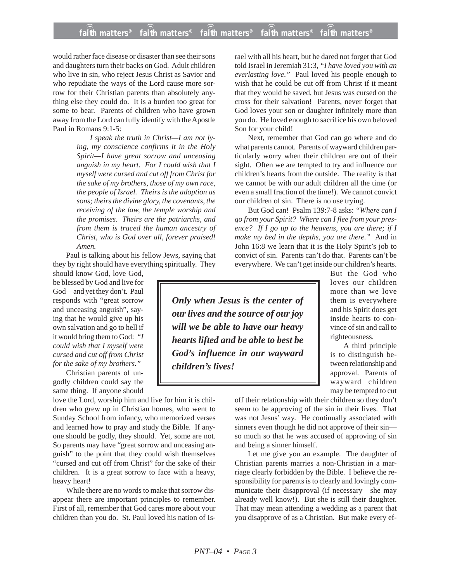## **faith matters® faith matters® faith matters® faith matters® faith matters®** ))) ))) ))) faith matters<sup>®</sup>  $fa\hat{i}$ **h** matters $^{\circ}$

would rather face disease or disaster than see their sons and daughters turn their backs on God. Adult children who live in sin, who reject Jesus Christ as Savior and who repudiate the ways of the Lord cause more sorrow for their Christian parents than absolutely anything else they could do. It is a burden too great for some to bear. Parents of children who have grown away from the Lord can fully identify with the Apostle Paul in Romans 9:1-5:

> *I speak the truth in Christ—I am not lying, my conscience confirms it in the Holy Spirit—I have great sorrow and unceasing anguish in my heart. For I could wish that I myself were cursed and cut off from Christ for the sake of my brothers, those of my own race, the people of Israel. Theirs is the adoption as sons; theirs the divine glory, the covenants, the receiving of the law, the temple worship and the promises. Theirs are the patriarchs, and from them is traced the human ancestry of Christ, who is God over all, forever praised! Amen.*

Paul is talking about his fellow Jews, saying that they by right should have everything spiritually. They

should know God, love God, be blessed by God and live for God—and yet they don't. Paul responds with "great sorrow and unceasing anguish", saying that he would give up his own salvation and go to hell if it would bring them to God: *"I could wish that I myself were cursed and cut off from Christ for the sake of my brothers."*

Christian parents of ungodly children could say the same thing. If anyone should

love the Lord, worship him and live for him it is children who grew up in Christian homes, who went to Sunday School from infancy, who memorized verses and learned how to pray and study the Bible. If anyone should be godly, they should. Yet, some are not. So parents may have "great sorrow and unceasing anguish" to the point that they could wish themselves "cursed and cut off from Christ" for the sake of their children. It is a great sorrow to face with a heavy, heavy heart!

While there are no words to make that sorrow disappear there are important principles to remember. First of all, remember that God cares more about your children than you do. St. Paul loved his nation of Is-

rael with all his heart, but he dared not forget that God told Israel in Jeremiah 31:3*, "I have loved you with an everlasting love*.*"* Paul loved his people enough to wish that he could be cut off from Christ if it meant that they would be saved, but Jesus was cursed on the cross for their salvation! Parents, never forget that God loves your son or daughter infinitely more than you do. He loved enough to sacrifice his own beloved Son for your child!

Next, remember that God can go where and do what parents cannot. Parents of wayward children particularly worry when their children are out of their sight. Often we are tempted to try and influence our children's hearts from the outside. The reality is that we cannot be with our adult children all the time (or even a small fraction of the time!). We cannot convict our children of sin. There is no use trying.

But God can! Psalm 139:7-8 asks: *"Where can I go from your Spirit? Where can I flee from your presence? If I go up to the heavens, you are there; if I make my bed in the depths, you are there."* And in John 16:8 we learn that it is the Holy Spirit's job to convict of sin. Parents can't do that. Parents can't be everywhere. We can't get inside our children's hearts.

*Only when Jesus is the center of our lives and the source of our joy will we be able to have our heavy hearts lifted and be able to best be God's influence in our wayward children's lives!*

But the God who loves our children more than we love them is everywhere and his Spirit does get inside hearts to convince of sin and call to righteousness.

A third principle is to distinguish between relationship and approval. Parents of wayward children may be tempted to cut

off their relationship with their children so they don't seem to be approving of the sin in their lives. That was not Jesus' way. He continually associated with sinners even though he did not approve of their sin so much so that he was accused of approving of sin and being a sinner himself.

Let me give you an example. The daughter of Christian parents marries a non-Christian in a marriage clearly forbidden by the Bible. I believe the responsibility for parents is to clearly and lovingly communicate their disapproval (if necessary—she may already well know!). But she is still their daughter. That may mean attending a wedding as a parent that you disapprove of as a Christian. But make every ef-